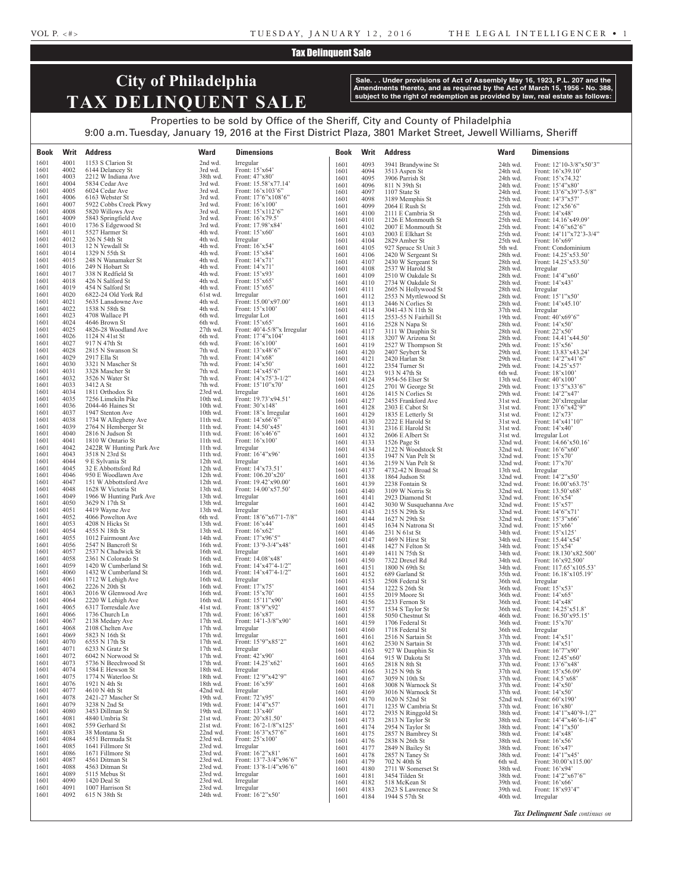### Tax Delinquent Sale

# **City of Philadelphia TAX DELINQUENT SALE**

**Sale. . . Under provisions of Act of Assembly May 16, 1923, P.L. 207 and the Amendments thereto, and as required by the Act of March 15, 1956 - No. 388, subject to the right of redemption as provided by law, real estate as follows:**

## Properties to be sold by Office of the Sheriff, City and County of Philadelphia 9:00 a.m. Tuesday, January 19, 2016 at the First District Plaza, 3801 Market Street, Jewell Williams, Sheriff

| Book         | Writ         | <b>Address</b>                                | <b>Ward</b>          | <b>Dimensions</b>                                          | Book         | Writ         | <b>Address</b>                           | <b>Ward</b>          | <b>Dimensions</b>                                   |
|--------------|--------------|-----------------------------------------------|----------------------|------------------------------------------------------------|--------------|--------------|------------------------------------------|----------------------|-----------------------------------------------------|
| 1601         | 4001         | 1153 S Clarion St                             | 2nd wd.              | Irregular                                                  | 1601         | 4093         | 3941 Brandywine St                       | 24th wd.             | Front: 12'10-3/8"x50'3"                             |
| 1601<br>1601 | 4002<br>4003 | 6144 Delancey St<br>2212 W Indiana Ave        | 3rd wd.<br>38th wd.  | Front: 15'x64'<br>Front: 47'x80'                           | 1601         | 4094         | 3513 Aspen St                            | 24th wd.             | Front: $16'x39.10'$                                 |
| 1601         | 4004         | 5834 Cedar Ave                                | 3rd wd.              | Front: 15.58'x77.14'                                       | 1601<br>1601 | 4095<br>4096 | 3906 Parrish St<br>811 N 39th St         | 24th wd.<br>24th wd. | Front: 15'x74.32'<br>Front: 15'4"x80'               |
| 1601         | 4005         | 6024 Cedar Ave                                | 3rd wd.              | Front: $16'x103'6"$                                        | 1601         | 4097         | 1107 State St                            | 24th wd.             | Front: 13'6"x39'7-5/8"                              |
| 1601         | 4006         | 6163 Webster St                               | 3rd wd.              | Front: 17'6"x108'6"                                        | 1601         | 4098         | 3189 Memphis St                          | 25th wd.             | Front: 14'3"x57'                                    |
| 1601<br>1601 | 4007<br>4008 | 5922 Cobbs Creek Pkwy<br>5820 Willows Ave     | 3rd wd.<br>3rd wd.   | Front: $16'x100'$<br>Front: 15'x112'6"                     | 1601<br>1601 | 4099<br>4100 | 2064 E Rush St                           | 25th wd.             | Front: $12^{\circ}x56^{\circ}6$ "                   |
| 1601         | 4009         | 5843 Springfield Ave                          | 3rd wd.              | Front: 16'x79.5'                                           | 1601         | 4101         | 2111 E Cambria St<br>2126 E Monmouth St  | 25th wd.<br>25th wd. | Front: 14'x48'<br>Front: 14.16'x49.09'              |
| 1601         | 4010         | 1736 S Edgewood St                            | 3rd wd.              | Front: 17.98'x84'                                          | 1601         | 4102         | 2007 E Monmouth St                       | 25th wd.             | Front: $14'6''x62'6''$                              |
| 1601<br>1601 | 4011<br>4012 | 5527 Harmer St<br>326 N 54th St               | 4th wd.<br>4th wd.   | Front: $15^{\circ}x60^{\circ}$<br>Irregular                | 1601         | 4103         | 2003 E Elkhart St                        | 25th wd.             | Front: 14'11"x72'3-3/4"                             |
| 1601         | 4013         | 12 N Yewdall St                               | 4th wd.              | Front: 16'x54'                                             | 1601<br>1601 | 4104<br>4105 | 2829 Amber St<br>927 Spruce St Unit 3    | 25th wd.<br>5th wd.  | Front: $16'x69'$<br>Front: Condominium              |
| 1601         | 4014         | 1329 N 55th St                                | 4th wd.              | Front: 15'x84'                                             | 1601         | 4106         | 2420 W Sergeant St                       | 28th wd.             | Front: 14.25'x53.50'                                |
| 1601         | 4015         | 248 N Wanamaker St                            | 4th wd.              | Front: 14'x71'                                             | 1601         | 4107         | 2430 W Sergeant St                       | 28th wd.             | Front: 14.25'x53.50'                                |
| 1601<br>1601 | 4016<br>4017 | 249 N Hobart St<br>338 N Redfield St          | 4th wd.<br>4th wd.   | Front: 14'x71'<br>Front: 15'x93'                           | 1601         | 4108         | 2537 W Harold St                         | 28th wd.             | Irregular                                           |
| 1601         | 4018         | 426 N Salford St                              | 4th wd.              | Front: 15'x65'                                             | 1601<br>1601 | 4109<br>4110 | 2510 W Oakdale St<br>2734 W Oakdale St   | 28th wd.<br>28th wd. | Front: 14'4"x60"<br>Front: $14'x43'$                |
| 1601         | 4019         | 454 N Salford St                              | 4th wd.              | Front: 15'x65'                                             | 1601         | 4111         | 2605 N Hollywood St                      | 28th wd.             | Irregular                                           |
| 1601<br>1601 | 4020<br>4021 | 6822-24 Old York Rd<br>5635 Lansdowne Ave     | 61st wd.<br>4th wd.  | Irregular<br>Front: 15.00'x97.00'                          | 1601         | 4112         | 2553 N Myrtlewood St                     | 28th wd.             | Front: 15'1"x50'                                    |
| 1601         | 4022         | 1538 N 58th St                                | 4th wd.              | Front: 15'x100'                                            | 1601<br>1601 | 4113<br>4114 | 2446 N Corlies St<br>3041-43 N 11th St   | 28th wd.<br>37th wd. | Front: 14'x45.10'<br>Irregular                      |
| 1601         | 4023         | 4708 Wallace Pl                               | 6th wd.              | Irregular Lot                                              | 1601         | 4115         | 2553-55 N Fairhill St                    | 19th wd.             | Front: $40^{\circ}x69^{\circ}6"$                    |
| 1601         | 4024         | 4646 Brown St<br>4826-28 Woodland Ave         | 6th wd.              | Front: 15'x65'                                             | 1601         | 4116         | 2528 N Napa St                           | 28th wd.             | Front: 14'x50'                                      |
| 1601<br>1601 | 4025<br>4026 | 1124 N 41st St                                | 27th wd.<br>6th wd.  | Front: $40^{\circ}4-5/8$ "x Irregular<br>Front: 17'4"x104' | 1601<br>1601 | 4117<br>4118 | 3111 W Dauphin St                        | 28th wd.<br>28th wd. | Front: $22^\prime x50^\prime$                       |
| 1601         | 4027         | 917 N 47th St                                 | 6th wd.              | Front: $16'x100'$                                          | 1601         | 4119         | 3207 W Arizona St<br>2527 W Thompson St  | 29th wd.             | Front: 14.41'x44.50'<br>Front: 15'x56'              |
| 1601         | 4028         | 2815 N Swanson St                             | 7th wd.              | Front: 13'x48'6"                                           | 1601         | 4120         | 2407 Seybert St                          | 29th wd.             | Front: 13.83'x43.24'                                |
| 1601<br>1601 | 4029<br>4030 | 2917 Ella St<br>3321 N Mascher St             | 7th wd.<br>7th wd.   | Front: 14'x68'<br>Front: $14'x50'$                         | 1601         | 4121         | 2420 Harlan St                           | 29th wd.             | Front: 14'2"x41'6"                                  |
| 1601         | 4031         | 3328 Mascher St                               | 7th wd.              | Front: 14'x45'6"                                           | 1601<br>1601 | 4122<br>4123 | 2354 Turner St<br>913 N 47th St          | 29th wd.<br>6th wd.  | Front: 14.25'x57'<br>Front: 18'x100'                |
| 1601         | 4032         | 3526 N Water St                               | 7th wd.              | Front: 14'x75'3-1/2"                                       | 1601         | 4124         | 3954-56 Elser St                         | 13th wd.             | Front: 40'x100'                                     |
| 1601         | 4033         | 3412 A St                                     | 7th wd.              | Front: 15'10"x70"                                          | 1601         | 4125         | 2701 W George St                         | 29th wd.             | Front: 13'5"x33'6"                                  |
| 1601<br>1601 | 4034<br>4035 | 1811 Orthodox St<br>7256 Limekiln Pike        | 23rd wd.<br>10th wd. | Irregular<br>Front: 19.73'x94.51'                          | 1601         | 4126         | 1415 N Corlies St                        | 29th wd.             | Front: 14'2"x47'                                    |
| 1601         | 4036         | $2044-46$ Haines St                           | 10th wd.             | Front: 30'x148'                                            | 1601<br>1601 | 4127<br>4128 | 2455 Frankford Ave<br>2303 E Cabot St    | 31st wd.<br>31st wd. | Front: 20'xIrregular<br>Front: $13'6''x42'9''$      |
| 1601         | 4037         | 1947 Stenton Ave                              | 10th wd.             | Front: 18'x Irregular                                      | 1601         | 4129         | 1835 E Letterly St                       | 31st wd.             | Front: 12'x73'                                      |
| 1601<br>1601 | 4038<br>4039 | 1734 W Allegheny Ave                          | 11th wd.<br>11th wd. | Front: $14' \times 66'$ 6"<br>Front: 14.50'x45'            | 1601         | 4130         | 2222 E Harold St                         | 31st wd.             | Front: 14'x41'10"                                   |
| 1601         | 4040         | 2764 N Hemberger St<br>2816 N Judson St       | 11th wd.             | Front: $16'x46'6"$                                         | 1601<br>1601 | 4131<br>4132 | 2316 E Harold St<br>2606 E Albert St     | 31st wd.<br>31st wd. | Front: $14'x40'$                                    |
| 1601         | 4041         | 1810 W Ontario St                             | $11th$ wd.           | Front: 16'x100'                                            | 1601         | 4133         | 1526 Page St                             | 32nd wd.             | Irregular Lot<br>Front: 14.66'x50.16'               |
| 1601         | 4042         | 2422R W Hunting Park Ave                      | 11th wd.             | Irregular                                                  | 1601         | 4134         | 2122 N Woodstock St                      | 32nd wd.             | Front: $16^{\circ}6^{\prime\prime}x60^{\prime}$     |
| 1601<br>1601 | 4043<br>4044 | 3518 N 23rd St<br>9 E Sylvania St             | 11th wd.<br>12th wd. | Front: 16'4"x96'<br>Irregular                              | 1601         | 4135         | 1947 N Van Pelt St                       | 32nd wd.             | Front: 15'x70'                                      |
| 1601         | 4045         | 32 E Abbottsford Rd                           | 12th wd.             | Front: 14'x73.51'                                          | 1601<br>1601 | 4136<br>4137 | 2159 N Van Pelt St<br>4732-42 N Broad St | 32nd wd.<br>13th wd. | Front: 17'x70'<br>Irregular                         |
| 1601         | 4046         | 950 E Woodlawn Ave                            | 12th wd.             | Front: $106.20'x20'$                                       | 1601         | 4138         | 1864 Judson St                           | 32nd wd.             | Front: 14'2"x50'                                    |
| 1601<br>1601 | 4047<br>4048 | 151 W Abbottsford Ave                         | 12th wd.<br>13th wd. | Front: 19.42'x90.00'<br>Front: 14.00'x57.50'               | 1601         | 4139         | 2238 Fontain St                          | 32nd wd.             | Front: 16.00'x63.75'                                |
| 1601         | 4049         | 1628 W Victoria St<br>1966 W Hunting Park Ave | 13th wd.             | Irregular                                                  | 1601<br>1601 | 4140<br>4141 | 3109 W Norris St<br>2923 Diamond St      | 32nd wd.<br>32nd wd. | Front: 13.50'x68'<br>Front: $16^{\circ}x54^{\circ}$ |
| 1601         | 4050         | 3629 N 17th St                                | 13th wd.             | Irregular                                                  | 1601         | 4142         | 3030 W Susquehanna Ave                   | 32nd wd.             | Front: 15'x57'                                      |
| 1601         | 4051         | 4419 Wayne Ave                                | 13th wd.             | Irregular                                                  | 1601         | 4143         | 2155 N 29th St                           | 32nd wd.             | Front: $14^{\circ}6^{\circ}x71^{\circ}$             |
| 1601<br>1601 | 4052<br>4053 | 4066 Powelton Ave<br>4208 N Hicks St          | 6th wd.<br>13th wd.  | Front: 18'6"x67'1-7/8"<br>Front: 16'x44'                   | 1601<br>1601 | 4144<br>4145 | 1627 N 29th St<br>$1634$ N<br>Natrona St | 32nd wd.             | Front: 15'3"x66'                                    |
| 1601         | 4054         | 4555 N 18th St                                | 13th wd.             | Front: 16'x62'                                             | 1601         | 4146         | 231 N 61st St                            | 32nd wd.<br>34th wd. | Front: 15'x66'<br>Front: 15'x125'                   |
| 1601         | 4055         | 1012 Fairmount Ave                            | 14th wd.             | Front: 17'x96'5"                                           | 1601         | 4147         | 1469 N Hirst St                          | 34th wd.             | Front: 15.44'x54'                                   |
| 1601<br>1601 | 4056<br>4057 | 2547 N Bancroft St<br>2537 N Chadwick St      | 16th wd.<br>16th wd. | Front: 13'9-3/4"x48'<br>Irregular                          | 1601         | 4148         | 1427 N Felton St                         | 34th wd.             | Front: 15'x54'                                      |
| 1601         | 4058         | 2361 N Colorado St                            | 16th wd.             | Front: 14.08'x48'                                          | 1601<br>1601 | 4149<br>4150 | 1411 N 75th St<br>7322 Drexel Rd         | 34th wd.<br>34th wd. | Front: 18.130'x82.500'<br>Front: 16'x92.500         |
| 1601         | 4059         | 1420 W Cumberland St                          | 16th wd.             | Front: $14'x47'4-1/2"$                                     | 1601         | 4151         | 1800 N 69th St                           | 34th wd.             | Front: 117.65'x105.53'                              |
| 1601<br>1601 | 4060<br>4061 | 1432 W Cumberland St<br>1712 W Lehigh Ave     | 16th wd.<br>16th wd. | Front: 14'x47'4-1/2"                                       | 1601         | 4152         | 689 Garland St                           | 35th wd.             | Front: 16.18'x105.19'                               |
| 1601         | 4062         | 2226 N 20th St                                | 16th wd.             | Irregular<br>Front: 17'x75'                                | 1601<br>1601 | 4153<br>4154 | 2508 Federal St<br>1222 S 26th St        | 36th wd.<br>36th wd. | Irregular<br>Front: 15'x53'                         |
| 1601         | 4063         | 2016 W Glenwood Ave                           | 16th wd.             | Front: 15'x70'                                             | 1601         | 4155         | 2019 Moore St                            | 36th wd.             | Front: 14'x65'                                      |
| 1601         | 4064         | 2220 W Lehigh Ave                             | 16th wd.             | Front: 15'11"x90'                                          | 1601         | 4156         | 2233 Fernon St                           | 36th wd.             | Front: 14'x48'                                      |
| 1601<br>1601 | 4065<br>4066 | 6317 Torresdale Ave<br>1736 Church Ln         | 41st wd.<br>17th wd. | Front: 18'9"x92'<br>Front: 16'x87'                         | 1601         | 4157         | 1534 S Taylor St                         | 36th wd.             | Front: 14.25'x51.8'                                 |
| 1601         | 4067         | 2138 Medary Ave                               | 17th wd.             | Front: $14'1-3/8''x90'$                                    | 1601<br>1601 | 4158<br>4159 | 5050 Chestnut St<br>1706 Federal St      | 46th wd.<br>36th wd. | Front: 16.50'x95.15'<br>Front: $15'x70'$            |
| 1601         | 4068         | 2108 Chelten Ave                              | 17th wd.             | Irregular                                                  | 1601         | 4160         | 1718 Federal St                          | 36th wd.             | Irregular                                           |
| 1601<br>1601 | 4069<br>4070 | 5823 N 16th St<br>6555 N 17th St              | 17th wd.<br>17th wd. | Irregular<br>Front: 15'9"x85'2"                            | 1601         | 4161         | 2516 N Sartain St                        | 37th wd.             | Front: 14'x51'                                      |
| 1601         | 4071         | 6233 N Gratz St                               | 17th wd.             | Irregular                                                  | 1601<br>1601 | 4162<br>4163 | 2530 N Sartain St<br>927 W Dauphin St    | 37th wd.<br>37th wd. | Front: 14'x51'<br>Front: 16'7"x90'                  |
| 1601         | 4072         | 6042 N Norwood St                             | $17th$ wd.           | Front: 42'x90'                                             | 1601         | 4164         | 915 W Dakota St                          | 37th wd.             | Front: 12.45'x60'                                   |
| 1601         | 4073         | 5736 N Beechwood St                           | 17th wd.             | Front: 14.25'x62'                                          | 1601         | 4165         | 2818 N 8th St                            | 37th wd.             | Front: 13'6"x48'                                    |
| 1601<br>1601 | 4074<br>4075 | 1584 E Hewson St<br>1774 N Waterloo St        | 18th wd.<br>18th wd. | Irregular<br>Front: 12'9"x42'9"                            | 1601         | 4166         | 3125 N 9th St<br>3059 N 10th St          | 37th wd.             | Front: 15'x56.09'<br>Front: 14.5'x68'               |
| 1601         | 4076         | 1921 N 4th St                                 | 18th wd.             | Front: 16'x59'                                             | 1601<br>1601 | 4167<br>4168 | 3008 N Warnock St                        | 37th wd.<br>37th wd. | Front: $14'x50'$                                    |
| 1601         | 4077         | 4610 N 4th St                                 | 42nd wd.             | Irregular                                                  | 1601         | 4169         | 3016 N Warnock St                        | 37th wd.             | Front: 14'x50'                                      |
| 1601<br>1601 | 4078<br>4079 | 2421-27 Mascher St<br>3238 N 2nd St           | 19th wd.<br>19th wd. | Front: 72'x95'<br>Front: 14'4"x57"                         | 1601         | 4170         | 1620 N 52nd St                           | 52nd wd.             | Front: 60'x190'                                     |
| 1601         | 4080         | 3453 Dillman St                               | 19th wd.             | Front: $13'x40'$                                           | 1601<br>1601 | 4171<br>4172 | 1235 W Cambria St<br>2935 N Ringgold St  | 37th wd.<br>38th wd. | Front: 16'x80'<br>Front: 14'1"x40'9-1/2"            |
| 1601         | 4081         | 4840 Umbria St                                | 21st wd.             | Front: 20'x81.50'                                          | 1601         | 4173         | 2813 N Taylor St                         | 38th wd.             | Front: $14'4''x46'6-1/4"$                           |
| 1601         | 4082         | 559 Gerhard St                                | 21st wd.             | Front: $16'2-1/8''x125'$                                   | 1601         | 4174         | 2954 N Taylor St                         | 38th wd.             | Front: 14'1"x50'                                    |
| 1601<br>1601 | 4083<br>4084 | 38 Montana St<br>4551 Bermuda St              | 22nd wd.<br>23rd wd. | Front: 16'3"x57'6"<br>Front: $25'x100'$                    | 1601         | 4175         | 2857 N Bambrey St                        | 38th wd.             | Front: 14'x48'                                      |
| 1601         | 4085         | 1641 Fillmore St                              | 23rd wd.             | Irregular                                                  | 1601<br>1601 | 4176<br>4177 | 2838 N 26th St<br>2849 N Bailey St       | 38th wd.<br>38th wd. | Front: $16'x56'$<br>Front: $16'x47'$                |
| 1601         | 4086         | 1671 Fillmore St                              | 23rd wd.             | Front: 16'2"x81'                                           | 1601         | 4178         | 2857 N Taney St                          | 38th wd.             | Front: 14'1"x45'                                    |
| 1601<br>1601 | 4087<br>4088 | 4561 Ditman St<br>4563 Ditman St              | 23rd wd.<br>23rd wd. | Front: 13'7-3/4"x96'6"<br>Front: $13'8-1/4''x96'6''$       | 1601         | 4179         | 702 N 40th St                            | 6th wd.              | Front: 30.00'x115.00'                               |
| 1601         | 4089         | 5115 Mebus St                                 | 23rd wd.             | Irregular                                                  | 1601<br>1601 | 4180<br>4181 | 2711 W Somerset St<br>3454 Tilden St     | 38th wd.<br>38th wd. | Front: 16'x94'<br>Front: 14'2"x67'6"                |
| 1601         | 4090         | 1420 Deal St                                  | 23rd wd.             | Irregular                                                  | 1601         | 4182         | 518 McKean St                            | 39th wd.             | Front: 16'x66'                                      |
| 1601<br>1601 | 4091<br>4092 | 1007 Harrison St<br>615 N 38th St             | 23rd wd.<br>24th wd. | Irregular<br>Front: 16'2"x50"                              | 1601         | 4183         | 2623 S Lawrence St                       | 39th wd.             | Front: 18'x93'4"                                    |
|              |              |                                               |                      |                                                            | 1601         | 4184         | 1944 S 57th St                           | 40th wd.             | Irregular                                           |
|              |              |                                               |                      |                                                            |              |              |                                          |                      | Tax Delinquent Sale continues on                    |